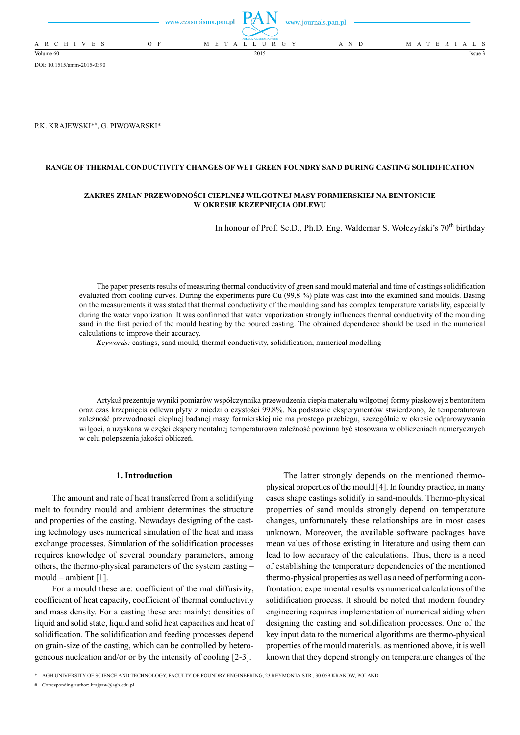|                 |       | www.czasopisma.pan.pl |                      | www.journals.pan.pl |  |  |  |                   |
|-----------------|-------|-----------------------|----------------------|---------------------|--|--|--|-------------------|
|                 |       |                       | POLSKA AKADEMIA NAUK |                     |  |  |  |                   |
| A R C H I V E S | $O$ F |                       | M E T A L L U R G Y  | A N D               |  |  |  | M A T E R I A L S |
| Volume 60       |       |                       | 2015                 |                     |  |  |  | Issue 3           |

DOI: 10.1515/amm-2015-0390

P.K. KRAJEWSKI\*#, G. PIWOWARSKI\*

### **RANGE OF THERMAL CONDUCTIVITY CHANGES OF WET GREEN FOUNDRY SAND DURING CASTING SOLIDIFICATION**

## **ZAKRES ZMIAN PRZEWODNOŚCI CIEPLNEJ WILGOTNEJ MASY FORMIERSKIEJ NA BENTONICIE W OKRESIE KRZEPNIĘCIA ODLEWU**

In honour of Prof. Sc.D., Ph.D. Eng. Waldemar S. Wołczyński's 70<sup>th</sup> birthday

The paper presents results of measuring thermal conductivity of green sand mould material and time of castings solidification evaluated from cooling curves. During the experiments pure Cu (99,8 %) plate was cast into the examined sand moulds. Basing on the measurements it was stated that thermal conductivity of the moulding sand has complex temperature variability, especially during the water vaporization. It was confirmed that water vaporization strongly influences thermal conductivity of the moulding sand in the first period of the mould heating by the poured casting. The obtained dependence should be used in the numerical calculations to improve their accuracy.

*Keywords:* castings, sand mould, thermal conductivity, solidification, numerical modelling

Artykuł prezentuje wyniki pomiarów współczynnika przewodzenia ciepła materiału wilgotnej formy piaskowej z bentonitem oraz czas krzepnięcia odlewu płyty z miedzi o czystości 99.8%. Na podstawie eksperymentów stwierdzono, że temperaturowa zależność przewodności cieplnej badanej masy formierskiej nie ma prostego przebiegu, szczególnie w okresie odparowywania wilgoci, a uzyskana w części eksperymentalnej temperaturowa zależność powinna być stosowana w obliczeniach numerycznych w celu polepszenia jakości obliczeń.

## **1. Introduction**

The amount and rate of heat transferred from a solidifying melt to foundry mould and ambient determines the structure and properties of the casting. Nowadays designing of the casting technology uses numerical simulation of the heat and mass exchange processes. Simulation of the solidification processes requires knowledge of several boundary parameters, among others, the thermo-physical parameters of the system casting – mould – ambient [1].

For a mould these are: coefficient of thermal diffusivity, coefficient of heat capacity, coefficient of thermal conductivity and mass density. For a casting these are: mainly: densities of liquid and solid state, liquid and solid heat capacities and heat of solidification. The solidification and feeding processes depend on grain-size of the casting, which can be controlled by heterogeneous nucleation and/or or by the intensity of cooling [2-3].

The latter strongly depends on the mentioned thermophysical properties of the mould [4]. In foundry practice, in many cases shape castings solidify in sand-moulds. Thermo-physical properties of sand moulds strongly depend on temperature changes, unfortunately these relationships are in most cases unknown. Moreover, the available software packages have mean values of those existing in literature and using them can lead to low accuracy of the calculations. Thus, there is a need of establishing the temperature dependencies of the mentioned thermo-physical properties as well as a need of performing a confrontation: experimental results vs numerical calculations of the solidification process. It should be noted that modern foundry engineering requires implementation of numerical aiding when designing the casting and solidification processes. One of the key input data to the numerical algorithms are thermo-physical properties of the mould materials. as mentioned above, it is well known that they depend strongly on temperature changes of the

\* AGH UNIVERSITY OF SCIENCE AND TECHNOLOGY, FACULTY OF FOUNDRY ENGINEERING, 23 REYMONTA STR., 30-059 KRAKOW, POLAND

# Corresponding author: krajpaw@agh.edu.pl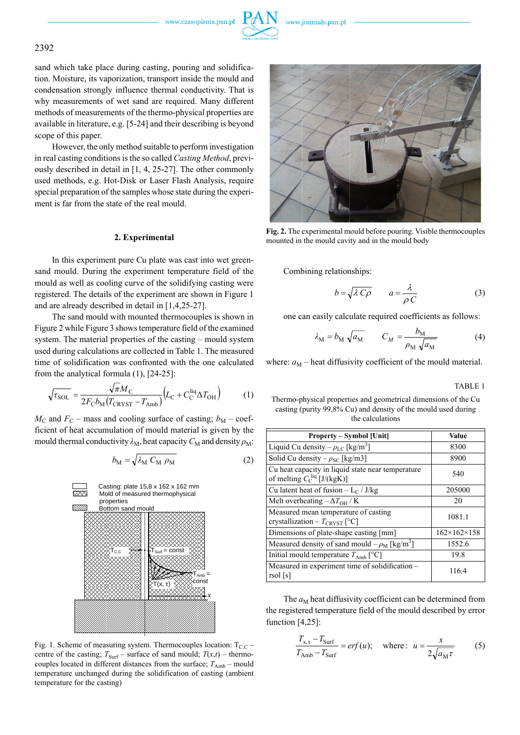www.czasopisma.pan.pl



# 2392

sand which take place during casting, pouring and solidification. Moisture, its vaporization, transport inside the mould and condensation strongly influence thermal conductivity. That is why measurements of wet sand are required. Many different methods of measurements of the thermo-physical properties are available in literature, e.g. [5-24] and their describing is beyond scope of this paper.

However, the only method suitable to perform investigation in real casting conditions is the so called *Casting Method*, previously described in detail in [1, 4, 25-27]. The other commonly used methods, e.g. Hot-Disk or Laser Flash Analysis, require special preparation of the samples whose state during the experiment is far from the state of the real mould.

### **2. Experimental**

In this experiment pure Cu plate was cast into wet greensand mould. During the experiment temperature field of the mould as well as cooling curve of the solidifying casting were registered. The details of the experiment are shown in Figure 1 and are already described in detail in [1,4,25-27].

The sand mould with mounted thermocouples is shown in Figure 2 while Figure 3 shows temperature field of the examined system. The material properties of the casting – mould system used during calculations are collected in Table 1. The measured time of solidification was confronted with the one calculated from the analytical formula (1), [24-25]:

$$
\sqrt{\tau_{\text{SOL}}} = \frac{\sqrt{\pi} M_{\text{C}}}{2F_{\text{C}} b_{\text{M}} (T_{\text{CRYST}} - T_{\text{Amb}})} \Big( L_{\text{C}} + C_{\text{C}}^{\text{liq}} \Delta T_{\text{OH}} \Big) \tag{1}
$$

 $M_{\rm C}$  and  $F_{\rm C}$  – mass and cooling surface of casting;  $b_{\rm M}$  – coefficient of heat accumulation of mould material is given by the mould thermal conductivity  $\lambda_M$ , heat capacity  $C_M$  and density  $\rho_M$ :

$$
b_{\rm M} = \sqrt{\lambda_{\rm M} C_{\rm M} \rho_{\rm M}}
$$
 (2)



Fig. 1. Scheme of measuring system. Thermocouples location:  $T_{CC}$  – centre of the casting;  $T_{\text{Surf}}$  – surface of sand mould;  $T(x,t)$  – thermocouples located in different distances from the surface;  $T_{\text{Amb}}$  – mould temperature unchanged during the solidification of casting (ambient temperature for the casting)



**Fig. 2.** The experimental mould before pouring. Visible thermocouples mounted in the mould cavity and in the mould body

Combining relationships:

$$
b = \sqrt{\lambda C \rho} \qquad a = \frac{\lambda}{\rho C} \tag{3}
$$

one can easily calculate required coefficients as follows:

$$
\lambda_{\rm M} = b_{\rm M} \sqrt{a_{\rm M}} \qquad C_M = \frac{b_{\rm M}}{\rho_{\rm M} \sqrt{a_{\rm M}}} \tag{4}
$$

where:  $a_M$  – heat diffusivity coefficient of the mould material.

TABLE 1

Thermo-physical properties and geometrical dimensions of the Cu casting (purity 99,8% Cu) and density of the mould used during the calculations

| <b>Property – Symbol [Unit]</b>                                                                 | Value                       |  |  |  |
|-------------------------------------------------------------------------------------------------|-----------------------------|--|--|--|
| Liquid Cu density $-\rho_{LC}$ [kg/m <sup>3</sup> ]                                             | 8300                        |  |  |  |
| Solid Cu density $-\rho_{SC}$ [kg/m3]                                                           | 8900                        |  |  |  |
| Cu heat capacity in liquid state near temperature<br>of melting $C_{\rm C}^{\rm liq}$ [J/(kgK)] | 540                         |  |  |  |
| Cu latent heat of fusion $-L_C / J/kg$                                                          | 205000                      |  |  |  |
| Melt overheating $-\Delta T_{\text{OH}}/K$                                                      | 20                          |  |  |  |
| Measured mean temperature of casting<br>crystallization – $T_{CRVST}$ [°C]                      | 1081.1                      |  |  |  |
| Dimensions of plate-shape casting [mm]                                                          | $162 \times 162 \times 158$ |  |  |  |
| Measured density of sand mould $-\rho_M$ [kg/m <sup>3</sup> ]                                   | 1552.6                      |  |  |  |
| Initial mould temperature $T_{\text{Amb}}$ [°C]                                                 | 19.8                        |  |  |  |
| Measured in experiment time of solidification -<br>$\tau$ sol [s]                               | 116.4                       |  |  |  |

The  $a_M$  heat diffusivity coefficient can be determined from the registered temperature field of the mould described by error function [4,25]:

$$
\frac{T_{x,\tau} - T_{\text{Surf}}}{T_{\text{Amb}} - T_{\text{Surf}}} = erf(u); \quad \text{where:} \quad u = \frac{x}{2\sqrt{a_M \tau}} \tag{5}
$$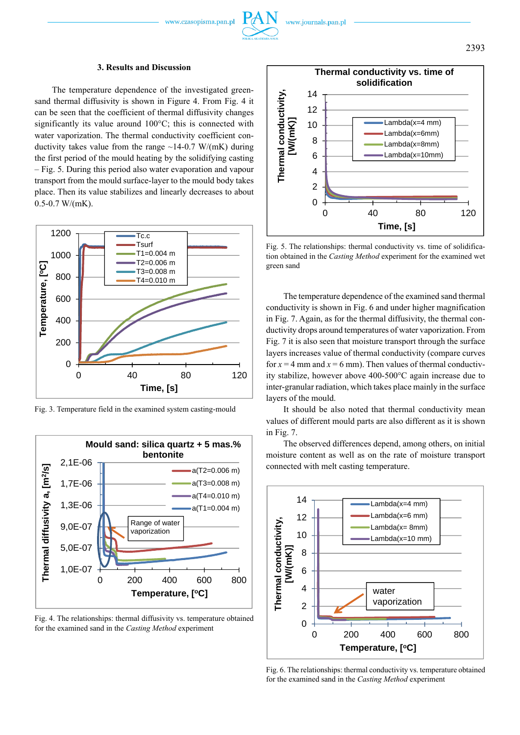# **3. Results and Discussion**

The temperature dependence of the investigated greensand thermal diffusivity is shown in Figure 4. From Fig. 4 it can be seen that the coefficient of thermal diffusivity changes significantly its value around 100°C; this is connected with water vaporization. The thermal conductivity coefficient conductivity takes value from the range  $\sim$ 14-0.7 W/(mK) during the first period of the mould heating by the solidifying casting – Fig. 5. During this period also water evaporation and vapour transport from the mould surface-layer to the mould body takes place. Then its value stabilizes and linearly decreases to about 0.5-0.7 W/(mK).



Fig. 3. Temperature field in the examined system casting-mould



Fig. 4. The relationships: thermal diffusivity vs. temperature obtained for the examined sand in the *Casting Method* experiment



Fig. 5. The relationships: thermal conductivity vs. time of solidification obtained in the *Casting Method* experiment for the examined wet green sand

The temperature dependence of the examined sand thermal conductivity is shown in Fig. 6 and under higher magnification in Fig. 7. Again, as for the thermal diffusivity, the thermal conductivity drops around temperatures of water vaporization. From Fig. 7 it is also seen that moisture transport through the surface layers increases value of thermal conductivity (compare curves for  $x = 4$  mm and  $x = 6$  mm). Then values of thermal conductivity stabilize, however above 400-500°C again increase due to inter-granular radiation, which takes place mainly in the surface layers of the mould.

It should be also noted that thermal conductivity mean values of different mould parts are also different as it is shown in Fig. 7.

The observed differences depend, among others, on initial moisture content as well as on the rate of moisture transport connected with melt casting temperature.



Fig. 6. The relationships: thermal conductivity vs. temperature obtained for the examined sand in the *Casting Method* experiment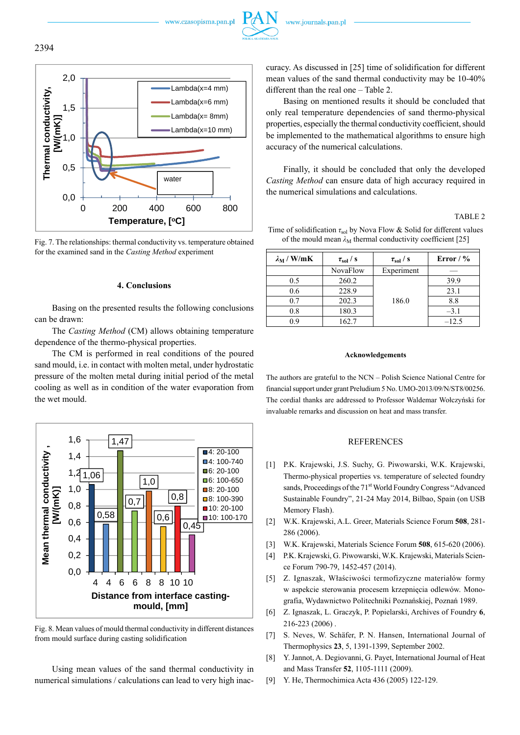www.czasopisma.pan.pl





Fig. 7. The relationships: thermal conductivity vs. temperature obtained for the examined sand in the *Casting Method* experiment

## **4. Conclusions**

Basing on the presented results the following conclusions can be drawn:

The *Casting Method* (CM) allows obtaining temperature dependence of the thermo-physical properties.

The CM is performed in real conditions of the poured sand mould, i.e. in contact with molten metal, under hydrostatic pressure of the molten metal during initial period of the metal cooling as well as in condition of the water evaporation from the wet mould.



Fig. 8. Mean values of mould thermal conductivity in different distances from mould surface during casting solidification

Using mean values of the sand thermal conductivity in numerical simulations / calculations can lead to very high inaccuracy. As discussed in [25] time of solidification for different mean values of the sand thermal conductivity may be 10-40% different than the real one – Table 2.

Basing on mentioned results it should be concluded that only real temperature dependencies of sand thermo-physical properties, especially the thermal conductivity coefficient, should be implemented to the mathematical algorithms to ensure high accuracy of the numerical calculations.

Finally, it should be concluded that only the developed *Casting Method* can ensure data of high accuracy required in the numerical simulations and calculations.

#### TABLE 2

| Time of solidification $\tau_{sol}$ by Nova Flow & Solid for different values |  |
|-------------------------------------------------------------------------------|--|
| of the mould mean $\lambda_M$ thermal conductivity coefficient [25]           |  |

| $\lambda_{\rm M}$ / W/mK | $\tau_{\rm sol}$ / s | $\tau_{sol}$ / s | Error / $\%$ |  |  |
|--------------------------|----------------------|------------------|--------------|--|--|
|                          | NovaFlow             | Experiment       |              |  |  |
| 0.5                      | 260.2                |                  | 39.9         |  |  |
| 0.6                      | 228.9                |                  | 23.1         |  |  |
| 0.7                      | 202.3                | 186.0            | 8.8          |  |  |
| 0.8                      | 180.3                |                  | $-3.1$       |  |  |
| 09                       | 162.7                |                  | $-12.5$      |  |  |

#### **Acknowledgements**

The authors are grateful to the NCN – Polish Science National Centre for financial support under grant Preludium 5 No. UMO-2013/09/N/ST8/00256. The cordial thanks are addressed to Professor Waldemar Wołczyński for invaluable remarks and discussion on heat and mass transfer.

### **REFERENCES**

- [1] P.K. Krajewski, J.S. Suchy, G. Piwowarski, W.K. Krajewski, Thermo-physical properties vs. temperature of selected foundry sands, Proceedings of the 71<sup>st</sup> World Foundry Congress "Advanced" Sustainable Foundry", 21-24 May 2014, Bilbao, Spain (on USB Memory Flash).
- [2] W.K. Krajewski, A.L. Greer, Materials Science Forum **508**, 281- 286 (2006).
- [3] W.K. Krajewski, Materials Science Forum **508**, 615-620 (2006).
- [4] P.K. Krajewski, G. Piwowarski, W.K. Krajewski, Materials Science Forum 790-79, 1452-457 (2014).
- [5] Z. Ignaszak, Właściwości termofizyczne materiałów formy w aspekcie sterowania procesem krzepnięcia odlewów. Monografia, Wydawnictwo Politechniki Poznańskiej, Poznań 1989.
- [6] Z. Ignaszak, L. Graczyk, P. Popielarski, Archives of Foundry **6**, 216-223 (2006) .
- [7] S. Neves, W. Schäfer, P. N. Hansen, International Journal of Thermophysics **23**, 5, 1391-1399, September 2002.
- [8] Y. Jannot, A. Degiovanni, G. Payet, International Journal of Heat and Mass Transfer **52**, 1105-1111 (2009).
- [9] Y. He, Thermochimica Acta 436 (2005) 122-129.